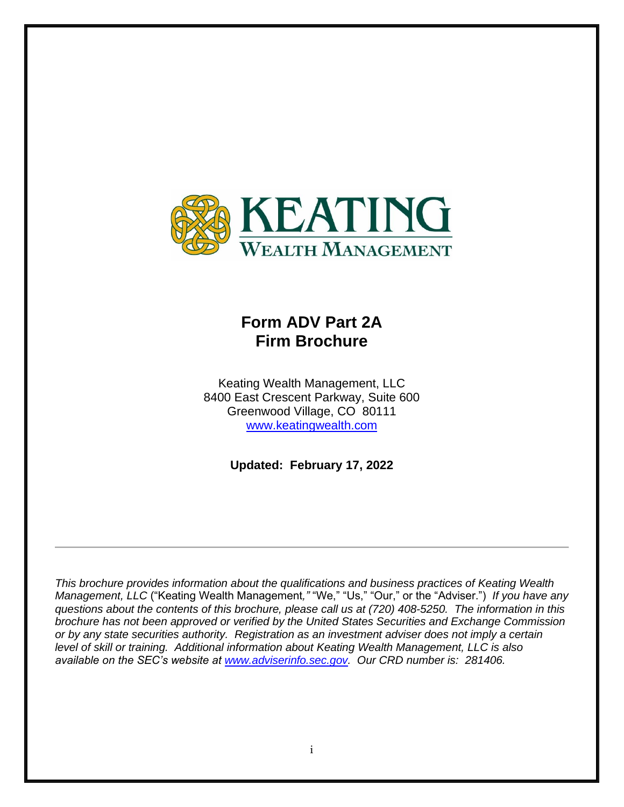

# **Form ADV Part 2A Firm Brochure**

Keating Wealth Management, LLC 8400 East Crescent Parkway, Suite 600 Greenwood Village, CO 80111 [www.keatingwealth.com](http://www.keatingwealth.com/)

**Updated: February 17, 2022**

*This brochure provides information about the qualifications and business practices of Keating Wealth Management, LLC* ("Keating Wealth Management*,"* "We," "Us," "Our," or the "Adviser.") *If you have any questions about the contents of this brochure, please call us at (720) 408-5250. The information in this brochure has not been approved or verified by the United States Securities and Exchange Commission or by any state securities authority. Registration as an investment adviser does not imply a certain level of skill or training. Additional information about Keating Wealth Management, LLC is also available on the SEC's website at [www.adviserinfo.sec.gov.](http://www.adviserinfo.sec.gov/) Our CRD number is: 281406.*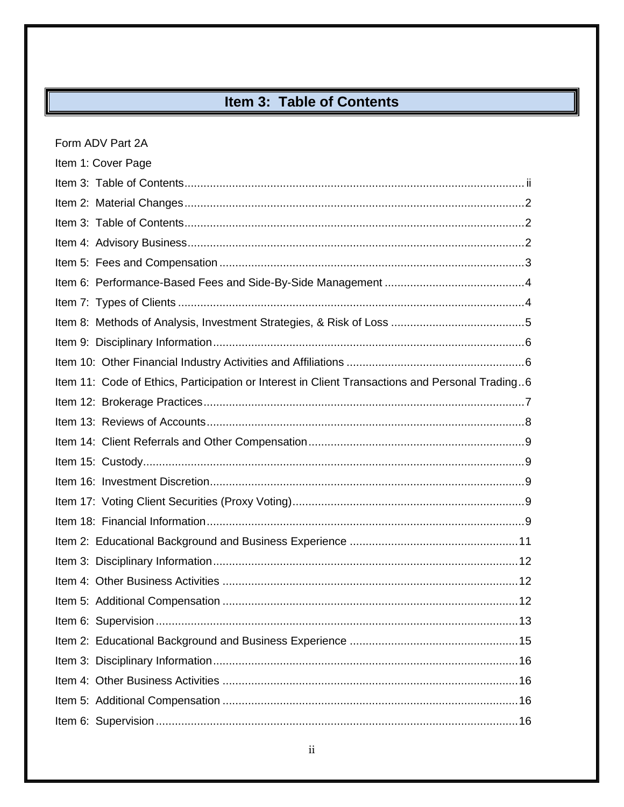# Item 3: Table of Contents

<span id="page-1-0"></span>

| Form ADV Part 2A                                                                                |
|-------------------------------------------------------------------------------------------------|
| Item 1: Cover Page                                                                              |
|                                                                                                 |
|                                                                                                 |
|                                                                                                 |
|                                                                                                 |
|                                                                                                 |
|                                                                                                 |
|                                                                                                 |
|                                                                                                 |
|                                                                                                 |
|                                                                                                 |
| Item 11: Code of Ethics, Participation or Interest in Client Transactions and Personal Trading6 |
|                                                                                                 |
|                                                                                                 |
|                                                                                                 |
|                                                                                                 |
|                                                                                                 |
|                                                                                                 |
|                                                                                                 |
|                                                                                                 |
|                                                                                                 |
|                                                                                                 |
|                                                                                                 |
|                                                                                                 |
|                                                                                                 |
|                                                                                                 |
|                                                                                                 |
|                                                                                                 |
|                                                                                                 |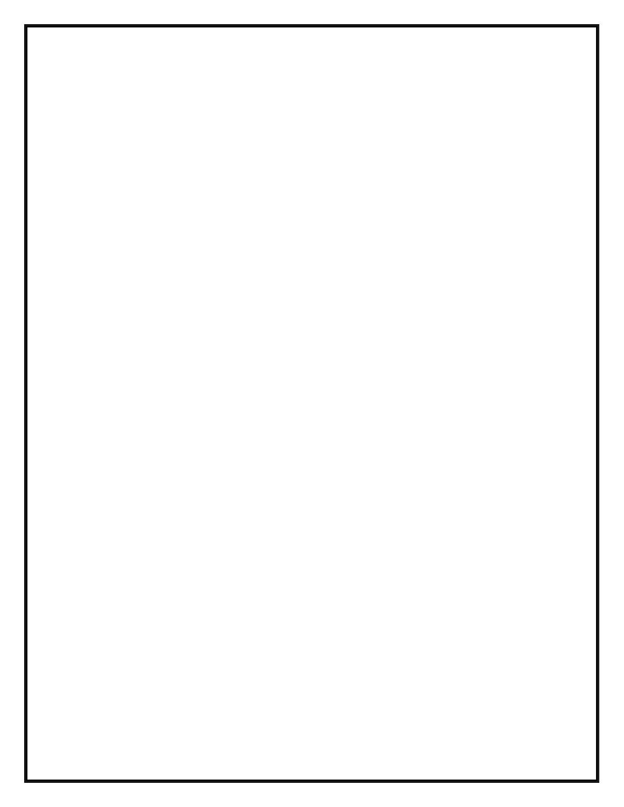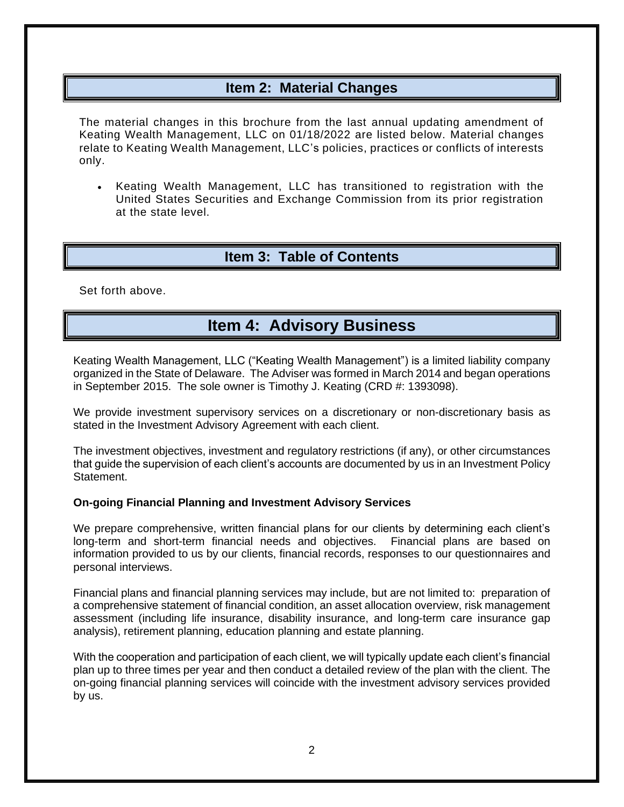# **Item 2: Material Changes**

<span id="page-3-0"></span>The material changes in this brochure from the last annual updating amendment of Keating Wealth Management, LLC on 01/18/2022 are listed below. Material changes relate to Keating Wealth Management, LLC's policies, practices or conflicts of interests only.

• Keating Wealth Management, LLC has transitioned to registration with the United States Securities and Exchange Commission from its prior registration at the state level.

### **Item 3: Table of Contents**

<span id="page-3-2"></span><span id="page-3-1"></span>Set forth above.

# **Item 4: Advisory Business**

Keating Wealth Management, LLC ("Keating Wealth Management") is a limited liability company organized in the State of Delaware. The Adviser was formed in March 2014 and began operations in September 2015. The sole owner is Timothy J. Keating (CRD #: 1393098).

We provide investment supervisory services on a discretionary or non-discretionary basis as stated in the Investment Advisory Agreement with each client.

The investment objectives, investment and regulatory restrictions (if any), or other circumstances that guide the supervision of each client's accounts are documented by us in an Investment Policy Statement.

#### **On-going Financial Planning and Investment Advisory Services**

We prepare comprehensive, written financial plans for our clients by determining each client's long-term and short-term financial needs and objectives. Financial plans are based on information provided to us by our clients, financial records, responses to our questionnaires and personal interviews.

Financial plans and financial planning services may include, but are not limited to: preparation of a comprehensive statement of financial condition, an asset allocation overview, risk management assessment (including life insurance, disability insurance, and long-term care insurance gap analysis), retirement planning, education planning and estate planning.

With the cooperation and participation of each client, we will typically update each client's financial plan up to three times per year and then conduct a detailed review of the plan with the client. The on-going financial planning services will coincide with the investment advisory services provided by us.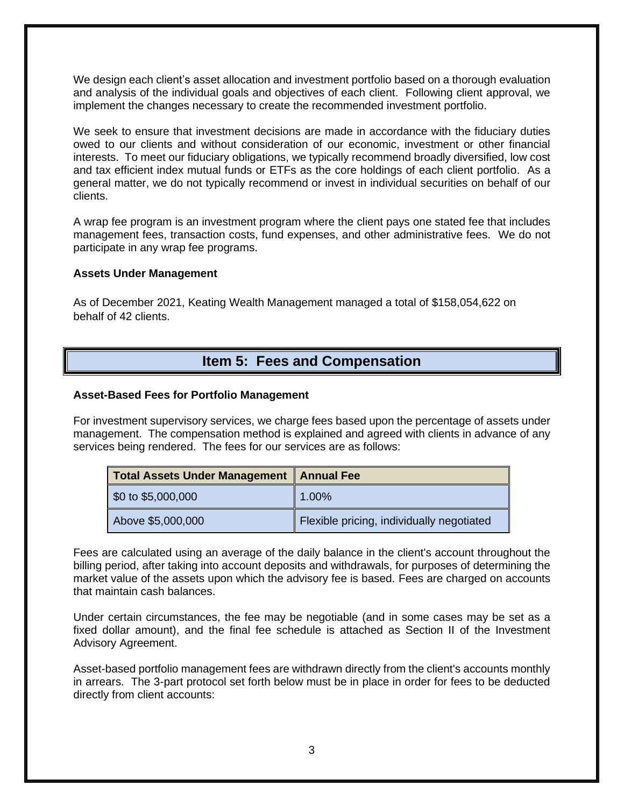We design each client's asset allocation and investment portfolio based on a thorough evaluation and analysis of the individual goals and objectives of each client. Following client approval, we implement the changes necessary to create the recommended investment portfolio.

We seek to ensure that investment decisions are made in accordance with the fiduciary duties owed to our clients and without consideration of our economic, investment or other financial interests. To meet our fiduciary obligations, we typically recommend broadly diversified, low cost and tax efficient index mutual funds or ETFs as the core holdings of each client portfolio. As a general matter, we do not typically recommend or invest in individual securities on behalf of our clients.

A wrap fee program is an investment program where the client pays one stated fee that includes management fees, transaction costs, fund expenses, and other administrative fees. We do not participate in any wrap fee programs.

#### **Assets Under Management**

As of December 2021, Keating Wealth Management managed a total of \$158,054,622 on behalf of 42 clients.

### **Item 5: Fees and Compensation**

#### <span id="page-4-0"></span>**Asset-Based Fees for Portfolio Management**

For investment supervisory services, we charge fees based upon the percentage of assets under management. The compensation method is explained and agreed with clients in advance of any services being rendered. The fees for our services are as follows:

| Total Assets Under Management   Annual Fee |                                           |
|--------------------------------------------|-------------------------------------------|
| $\vert$ \$0 to \$5,000,000                 | $\parallel$ 1.00%                         |
| Above \$5,000,000                          | Flexible pricing, individually negotiated |

Fees are calculated using an average of the daily balance in the client's account throughout the billing period, after taking into account deposits and withdrawals, for purposes of determining the market value of the assets upon which the advisory fee is based. Fees are charged on accounts that maintain cash balances.

Under certain circumstances, the fee may be negotiable (and in some cases may be set as a fixed dollar amount), and the final fee schedule is attached as Section II of the Investment Advisory Agreement.

Asset-based portfolio management fees are withdrawn directly from the client's accounts monthly in arrears. The 3-part protocol set forth below must be in place in order for fees to be deducted directly from client accounts: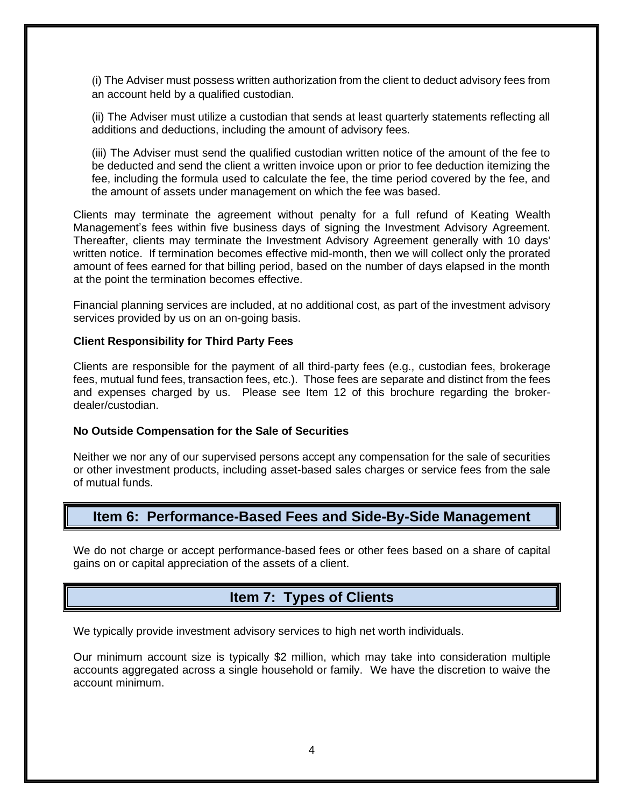(i) The Adviser must possess written authorization from the client to deduct advisory fees from an account held by a qualified custodian.

(ii) The Adviser must utilize a custodian that sends at least quarterly statements reflecting all additions and deductions, including the amount of advisory fees.

(iii) The Adviser must send the qualified custodian written notice of the amount of the fee to be deducted and send the client a written invoice upon or prior to fee deduction itemizing the fee, including the formula used to calculate the fee, the time period covered by the fee, and the amount of assets under management on which the fee was based.

Clients may terminate the agreement without penalty for a full refund of Keating Wealth Management's fees within five business days of signing the Investment Advisory Agreement. Thereafter, clients may terminate the Investment Advisory Agreement generally with 10 days' written notice. If termination becomes effective mid-month, then we will collect only the prorated amount of fees earned for that billing period, based on the number of days elapsed in the month at the point the termination becomes effective.

Financial planning services are included, at no additional cost, as part of the investment advisory services provided by us on an on-going basis.

#### **Client Responsibility for Third Party Fees**

Clients are responsible for the payment of all third-party fees (e.g., custodian fees, brokerage fees, mutual fund fees, transaction fees, etc.). Those fees are separate and distinct from the fees and expenses charged by us. Please see Item 12 of this brochure regarding the brokerdealer/custodian.

#### **No Outside Compensation for the Sale of Securities**

Neither we nor any of our supervised persons accept any compensation for the sale of securities or other investment products, including asset-based sales charges or service fees from the sale of mutual funds.

### <span id="page-5-0"></span>**Item 6: Performance-Based Fees and Side-By-Side Management**

<span id="page-5-1"></span>We do not charge or accept performance-based fees or other fees based on a share of capital gains on or capital appreciation of the assets of a client.

### **Item 7: Types of Clients**

We typically provide investment advisory services to high net worth individuals.

Our minimum account size is typically \$2 million, which may take into consideration multiple accounts aggregated across a single household or family. We have the discretion to waive the account minimum.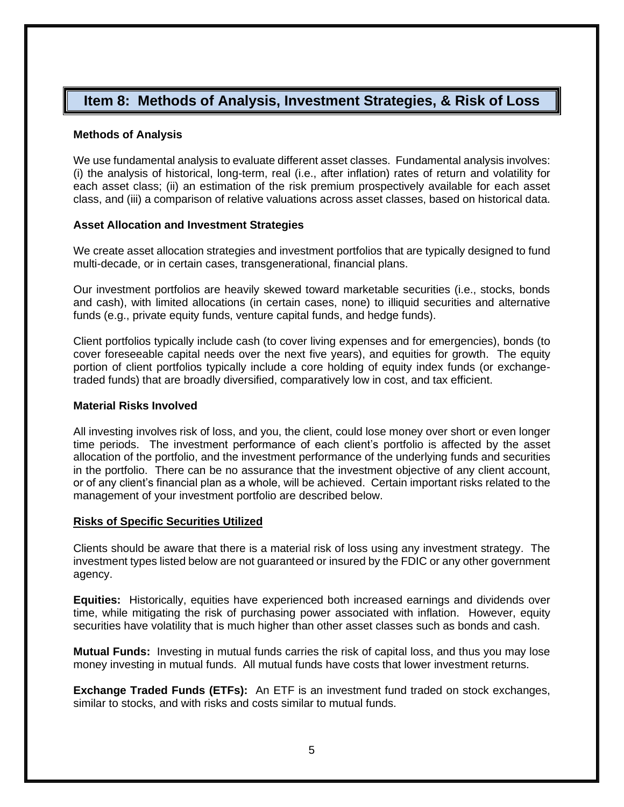# <span id="page-6-0"></span>**Item 8: Methods of Analysis, Investment Strategies, & Risk of Loss**

#### **Methods of Analysis**

We use fundamental analysis to evaluate different asset classes. Fundamental analysis involves: (i) the analysis of historical, long-term, real (i.e., after inflation) rates of return and volatility for each asset class; (ii) an estimation of the risk premium prospectively available for each asset class, and (iii) a comparison of relative valuations across asset classes, based on historical data.

#### **Asset Allocation and Investment Strategies**

We create asset allocation strategies and investment portfolios that are typically designed to fund multi-decade, or in certain cases, transgenerational, financial plans.

Our investment portfolios are heavily skewed toward marketable securities (i.e., stocks, bonds and cash), with limited allocations (in certain cases, none) to illiquid securities and alternative funds (e.g., private equity funds, venture capital funds, and hedge funds).

Client portfolios typically include cash (to cover living expenses and for emergencies), bonds (to cover foreseeable capital needs over the next five years), and equities for growth. The equity portion of client portfolios typically include a core holding of equity index funds (or exchangetraded funds) that are broadly diversified, comparatively low in cost, and tax efficient.

#### **Material Risks Involved**

All investing involves risk of loss, and you, the client, could lose money over short or even longer time periods. The investment performance of each client's portfolio is affected by the asset allocation of the portfolio, and the investment performance of the underlying funds and securities in the portfolio. There can be no assurance that the investment objective of any client account, or of any client's financial plan as a whole, will be achieved. Certain important risks related to the management of your investment portfolio are described below.

#### **Risks of Specific Securities Utilized**

Clients should be aware that there is a material risk of loss using any investment strategy. The investment types listed below are not guaranteed or insured by the FDIC or any other government agency.

**Equities:** Historically, equities have experienced both increased earnings and dividends over time, while mitigating the risk of purchasing power associated with inflation. However, equity securities have volatility that is much higher than other asset classes such as bonds and cash.

**Mutual Funds:** Investing in mutual funds carries the risk of capital loss, and thus you may lose money investing in mutual funds. All mutual funds have costs that lower investment returns.

**Exchange Traded Funds (ETFs):** An ETF is an investment fund traded on stock exchanges, similar to stocks, and with risks and costs similar to mutual funds.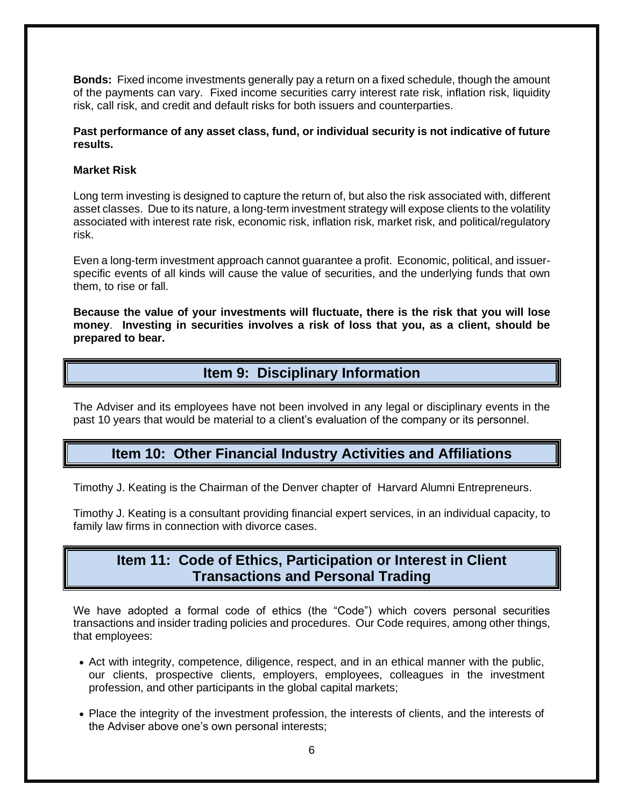**Bonds:** Fixed income investments generally pay a return on a fixed schedule, though the amount of the payments can vary. Fixed income securities carry interest rate risk, inflation risk, liquidity risk, call risk, and credit and default risks for both issuers and counterparties.

**Past performance of any asset class, fund, or individual security is not indicative of future results.**

#### **Market Risk**

Long term investing is designed to capture the return of, but also the risk associated with, different asset classes. Due to its nature, a long-term investment strategy will expose clients to the volatility associated with interest rate risk, economic risk, inflation risk, market risk, and political/regulatory risk.

Even a long-term investment approach cannot guarantee a profit. Economic, political, and issuerspecific events of all kinds will cause the value of securities, and the underlying funds that own them, to rise or fall.

**Because the value of your investments will fluctuate, there is the risk that you will lose money**. **Investing in securities involves a risk of loss that you, as a client, should be prepared to bear.**

### **Item 9: Disciplinary Information**

<span id="page-7-1"></span><span id="page-7-0"></span>The Adviser and its employees have not been involved in any legal or disciplinary events in the past 10 years that would be material to a client's evaluation of the company or its personnel.

# **Item 10: Other Financial Industry Activities and Affiliations**

Timothy J. Keating is the Chairman of the Denver chapter of Harvard Alumni Entrepreneurs.

<span id="page-7-2"></span>Timothy J. Keating is a consultant providing financial expert services, in an individual capacity, to family law firms in connection with divorce cases.

# **Item 11: Code of Ethics, Participation or Interest in Client Transactions and Personal Trading**

We have adopted a formal code of ethics (the "Code") which covers personal securities transactions and insider trading policies and procedures. Our Code requires, among other things, that employees:

- Act with integrity, competence, diligence, respect, and in an ethical manner with the public, our clients, prospective clients, employers, employees, colleagues in the investment profession, and other participants in the global capital markets;
- Place the integrity of the investment profession, the interests of clients, and the interests of the Adviser above one's own personal interests;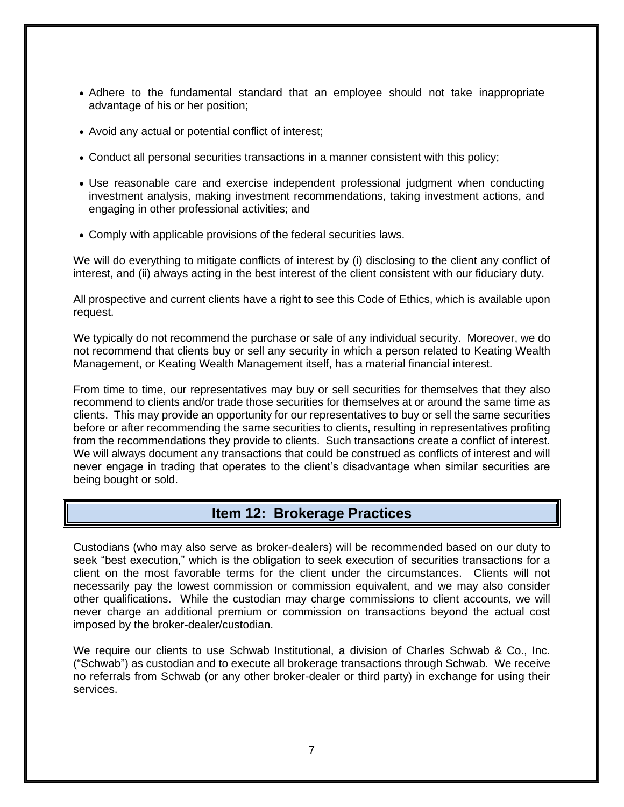- Adhere to the fundamental standard that an employee should not take inappropriate advantage of his or her position;
- Avoid any actual or potential conflict of interest;
- Conduct all personal securities transactions in a manner consistent with this policy;
- Use reasonable care and exercise independent professional judgment when conducting investment analysis, making investment recommendations, taking investment actions, and engaging in other professional activities; and
- Comply with applicable provisions of the federal securities laws.

We will do everything to mitigate conflicts of interest by (i) disclosing to the client any conflict of interest, and (ii) always acting in the best interest of the client consistent with our fiduciary duty.

All prospective and current clients have a right to see this Code of Ethics, which is available upon request.

We typically do not recommend the purchase or sale of any individual security. Moreover, we do not recommend that clients buy or sell any security in which a person related to Keating Wealth Management, or Keating Wealth Management itself, has a material financial interest.

From time to time, our representatives may buy or sell securities for themselves that they also recommend to clients and/or trade those securities for themselves at or around the same time as clients. This may provide an opportunity for our representatives to buy or sell the same securities before or after recommending the same securities to clients, resulting in representatives profiting from the recommendations they provide to clients. Such transactions create a conflict of interest. We will always document any transactions that could be construed as conflicts of interest and will never engage in trading that operates to the client's disadvantage when similar securities are being bought or sold.

### **Item 12: Brokerage Practices**

<span id="page-8-0"></span>Custodians (who may also serve as broker-dealers) will be recommended based on our duty to seek "best execution," which is the obligation to seek execution of securities transactions for a client on the most favorable terms for the client under the circumstances. Clients will not necessarily pay the lowest commission or commission equivalent, and we may also consider other qualifications. While the custodian may charge commissions to client accounts, we will never charge an additional premium or commission on transactions beyond the actual cost imposed by the broker-dealer/custodian.

We require our clients to use Schwab Institutional, a division of Charles Schwab & Co., Inc. ("Schwab") as custodian and to execute all brokerage transactions through Schwab. We receive no referrals from Schwab (or any other broker-dealer or third party) in exchange for using their services.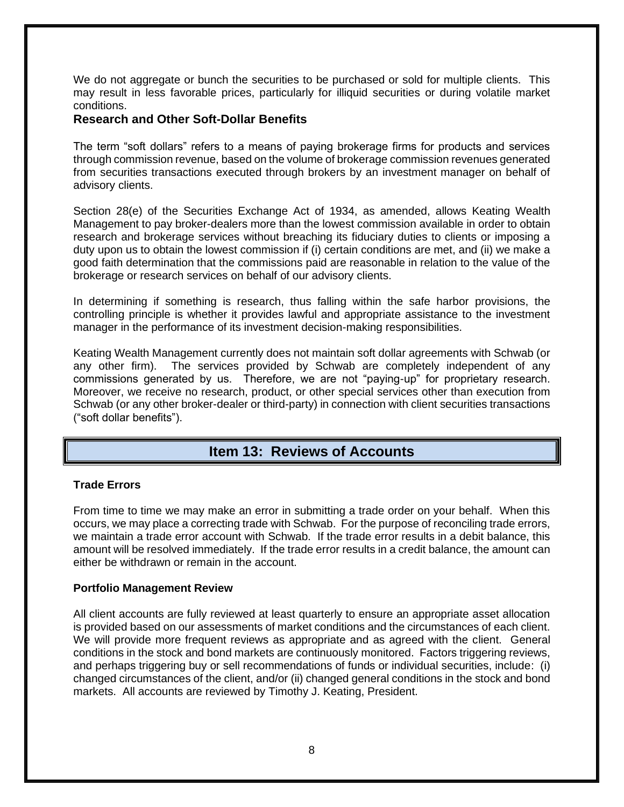We do not aggregate or bunch the securities to be purchased or sold for multiple clients. This may result in less favorable prices, particularly for illiquid securities or during volatile market conditions.

#### **Research and Other Soft-Dollar Benefits**

The term "soft dollars" refers to a means of paying brokerage firms for products and services through commission revenue, based on the volume of brokerage commission revenues generated from securities transactions executed through brokers by an investment manager on behalf of advisory clients.

Section 28(e) of the Securities Exchange Act of 1934, as amended, allows Keating Wealth Management to pay broker-dealers more than the lowest commission available in order to obtain research and brokerage services without breaching its fiduciary duties to clients or imposing a duty upon us to obtain the lowest commission if (i) certain conditions are met, and (ii) we make a good faith determination that the commissions paid are reasonable in relation to the value of the brokerage or research services on behalf of our advisory clients.

In determining if something is research, thus falling within the safe harbor provisions, the controlling principle is whether it provides lawful and appropriate assistance to the investment manager in the performance of its investment decision-making responsibilities.

Keating Wealth Management currently does not maintain soft dollar agreements with Schwab (or any other firm). The services provided by Schwab are completely independent of any commissions generated by us. Therefore, we are not "paying-up" for proprietary research. Moreover, we receive no research, product, or other special services other than execution from Schwab (or any other broker-dealer or third-party) in connection with client securities transactions ("soft dollar benefits").

### **Item 13: Reviews of Accounts**

#### <span id="page-9-0"></span>**Trade Errors**

From time to time we may make an error in submitting a trade order on your behalf. When this occurs, we may place a correcting trade with Schwab. For the purpose of reconciling trade errors, we maintain a trade error account with Schwab. If the trade error results in a debit balance, this amount will be resolved immediately. If the trade error results in a credit balance, the amount can either be withdrawn or remain in the account.

#### **Portfolio Management Review**

All client accounts are fully reviewed at least quarterly to ensure an appropriate asset allocation is provided based on our assessments of market conditions and the circumstances of each client. We will provide more frequent reviews as appropriate and as agreed with the client. General conditions in the stock and bond markets are continuously monitored. Factors triggering reviews, and perhaps triggering buy or sell recommendations of funds or individual securities, include: (i) changed circumstances of the client, and/or (ii) changed general conditions in the stock and bond markets. All accounts are reviewed by Timothy J. Keating, President.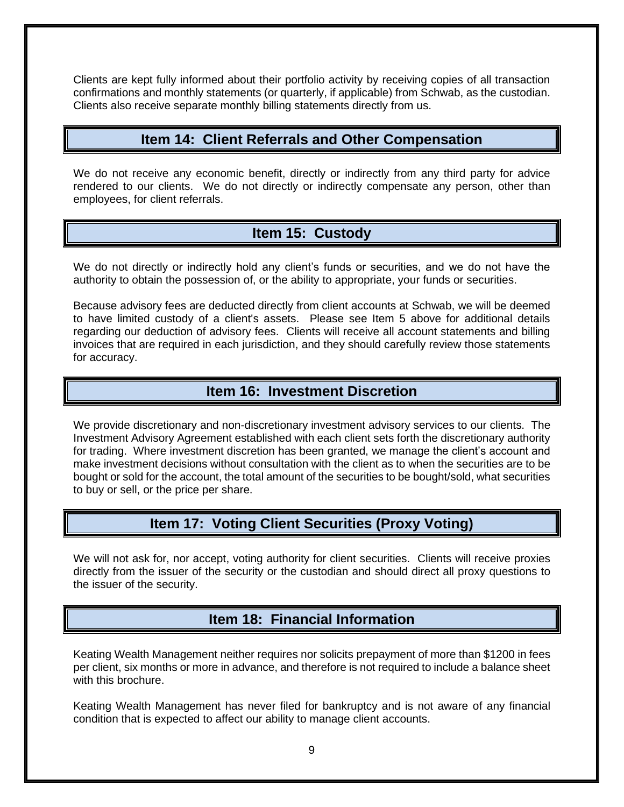Clients are kept fully informed about their portfolio activity by receiving copies of all transaction confirmations and monthly statements (or quarterly, if applicable) from Schwab, as the custodian. Clients also receive separate monthly billing statements directly from us.

### **Item 14: Client Referrals and Other Compensation**

<span id="page-10-0"></span>We do not receive any economic benefit, directly or indirectly from any third party for advice rendered to our clients. We do not directly or indirectly compensate any person, other than employees, for client referrals.

# **Item 15: Custody**

<span id="page-10-1"></span>We do not directly or indirectly hold any client's funds or securities, and we do not have the authority to obtain the possession of, or the ability to appropriate, your funds or securities.

Because advisory fees are deducted directly from client accounts at Schwab, we will be deemed to have limited custody of a client's assets. Please see Item 5 above for additional details regarding our deduction of advisory fees. Clients will receive all account statements and billing invoices that are required in each jurisdiction, and they should carefully review those statements for accuracy.

### **Item 16: Investment Discretion**

<span id="page-10-2"></span>We provide discretionary and non-discretionary investment advisory services to our clients. The Investment Advisory Agreement established with each client sets forth the discretionary authority for trading. Where investment discretion has been granted, we manage the client's account and make investment decisions without consultation with the client as to when the securities are to be bought or sold for the account, the total amount of the securities to be bought/sold, what securities to buy or sell, or the price per share.

# **Item 17: Voting Client Securities (Proxy Voting)**

<span id="page-10-3"></span>We will not ask for, nor accept, voting authority for client securities. Clients will receive proxies directly from the issuer of the security or the custodian and should direct all proxy questions to the issuer of the security.

# **Item 18: Financial Information**

<span id="page-10-4"></span>Keating Wealth Management neither requires nor solicits prepayment of more than \$1200 in fees per client, six months or more in advance, and therefore is not required to include a balance sheet with this brochure.

Keating Wealth Management has never filed for bankruptcy and is not aware of any financial condition that is expected to affect our ability to manage client accounts.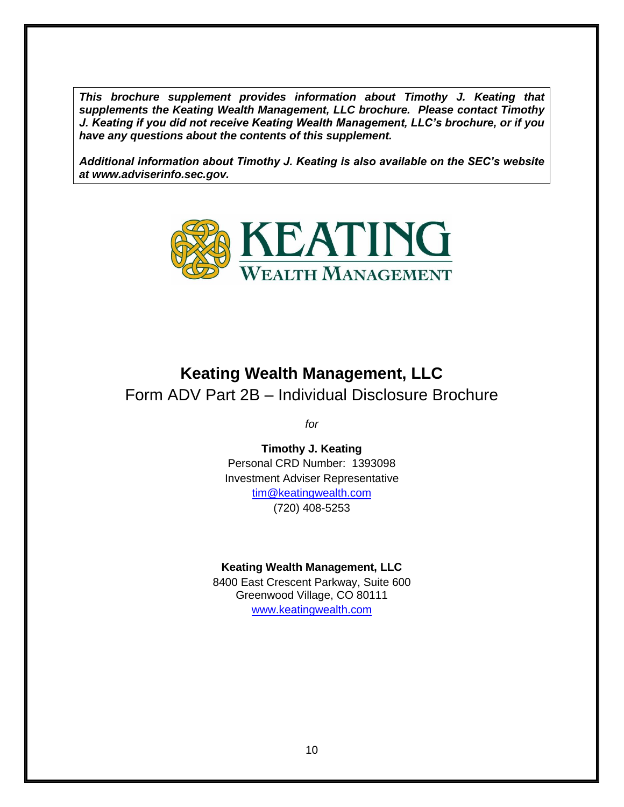*This brochure supplement provides information about Timothy J. Keating that supplements the Keating Wealth Management, LLC brochure. Please contact Timothy J. Keating if you did not receive Keating Wealth Management, LLC's brochure, or if you have any questions about the contents of this supplement.*

*Additional information about Timothy J. Keating is also available on the SEC's website at www.adviserinfo.sec.gov.*



# **Keating Wealth Management, LLC**

Form ADV Part 2B – Individual Disclosure Brochure

*for*

**Timothy J. Keating**  Personal CRD Number: 1393098 Investment Adviser Representative [tim@keatingwealth.com](mailto:tim@keatingwealth.com) (720) 408-5253

### **Keating Wealth Management, LLC**

8400 East Crescent Parkway, Suite 600 Greenwood Village, CO 80111 [www.keatingwealth.com](http://www.keatingwealth.com/)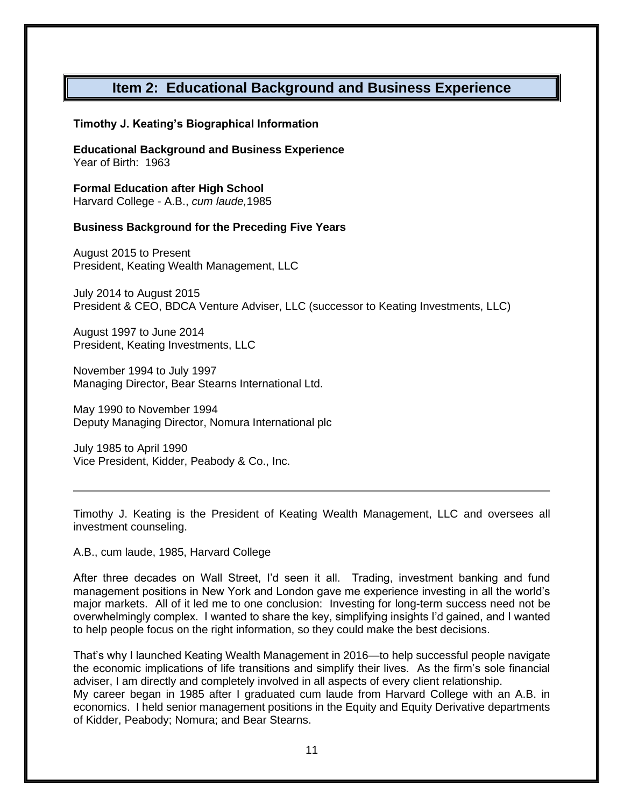# <span id="page-12-0"></span>**Item 2: Educational Background and Business Experience**

#### **Timothy J. Keating's Biographical Information**

**Educational Background and Business Experience** Year of Birth: 1963

**Formal Education after High School** Harvard College - A.B., *cum laude,*1985

#### **Business Background for the Preceding Five Years**

August 2015 to Present President, Keating Wealth Management, LLC

July 2014 to August 2015 President & CEO, BDCA Venture Adviser, LLC (successor to Keating Investments, LLC)

August 1997 to June 2014 President, Keating Investments, LLC

November 1994 to July 1997 Managing Director, Bear Stearns International Ltd.

May 1990 to November 1994 Deputy Managing Director, Nomura International plc

July 1985 to April 1990 Vice President, Kidder, Peabody & Co., Inc.

Timothy J. Keating is the President of Keating Wealth Management, LLC and oversees all investment counseling.

A.B., cum laude, 1985, Harvard College

After three decades on Wall Street, I'd seen it all. Trading, investment banking and fund management positions in New York and London gave me experience investing in all the world's major markets. All of it led me to one conclusion: Investing for long-term success need not be overwhelmingly complex. I wanted to share the key, simplifying insights I'd gained, and I wanted to help people focus on the right information, so they could make the best decisions.

That's why I launched Keating Wealth Management in 2016—to help successful people navigate the economic implications of life transitions and simplify their lives. As the firm's sole financial adviser, I am directly and completely involved in all aspects of every client relationship. My career began in 1985 after I graduated cum laude from Harvard College with an A.B. in

economics. I held senior management positions in the Equity and Equity Derivative departments of Kidder, Peabody; Nomura; and Bear Stearns.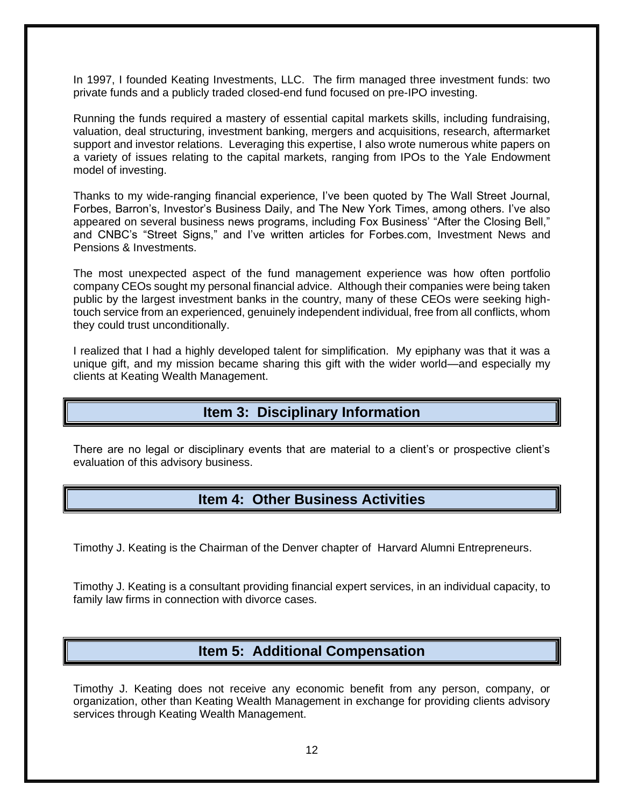In 1997, I founded Keating Investments, LLC. The firm managed three investment funds: two private funds and a publicly traded closed-end fund focused on pre-IPO investing.

Running the funds required a mastery of essential capital markets skills, including fundraising, valuation, deal structuring, investment banking, mergers and acquisitions, research, aftermarket support and investor relations. Leveraging this expertise, I also wrote numerous white papers on a variety of issues relating to the capital markets, ranging from IPOs to the Yale Endowment model of investing.

Thanks to my wide-ranging financial experience, I've been quoted by The Wall Street Journal, Forbes, Barron's, Investor's Business Daily, and The New York Times, among others. I've also appeared on several business news programs, including Fox Business' "After the Closing Bell," and CNBC's "Street Signs," and I've written articles for Forbes.com, Investment News and Pensions & Investments.

The most unexpected aspect of the fund management experience was how often portfolio company CEOs sought my personal financial advice. Although their companies were being taken public by the largest investment banks in the country, many of these CEOs were seeking hightouch service from an experienced, genuinely independent individual, free from all conflicts, whom they could trust unconditionally.

I realized that I had a highly developed talent for simplification. My epiphany was that it was a unique gift, and my mission became sharing this gift with the wider world—and especially my clients at Keating Wealth Management.

### **Item 3: Disciplinary Information**

<span id="page-13-1"></span><span id="page-13-0"></span>There are no legal or disciplinary events that are material to a client's or prospective client's evaluation of this advisory business.

### **Item 4: Other Business Activities**

Timothy J. Keating is the Chairman of the Denver chapter of Harvard Alumni Entrepreneurs.

Timothy J. Keating is a consultant providing financial expert services, in an individual capacity, to family law firms in connection with divorce cases.

### **Item 5: Additional Compensation**

<span id="page-13-2"></span>Timothy J. Keating does not receive any economic benefit from any person, company, or organization, other than Keating Wealth Management in exchange for providing clients advisory services through Keating Wealth Management.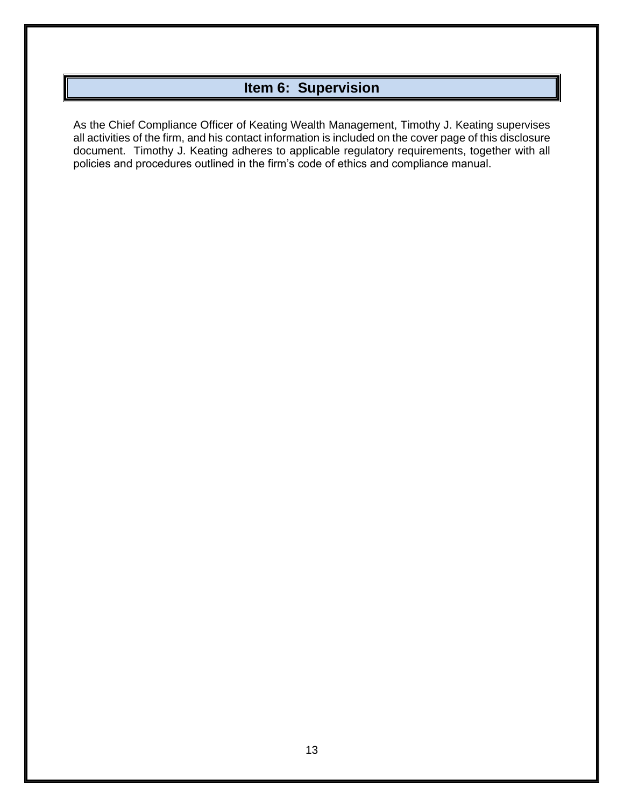# **Item 6: Supervision**

<span id="page-14-0"></span>As the Chief Compliance Officer of Keating Wealth Management, Timothy J. Keating supervises all activities of the firm, and his contact information is included on the cover page of this disclosure document. Timothy J. Keating adheres to applicable regulatory requirements, together with all policies and procedures outlined in the firm's code of ethics and compliance manual.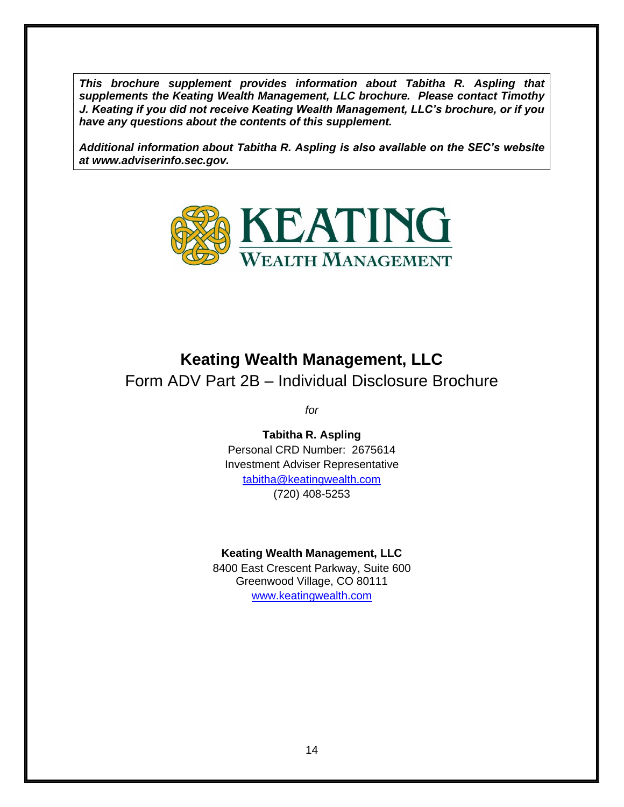*This brochure supplement provides information about Tabitha R. Aspling that supplements the Keating Wealth Management, LLC brochure. Please contact Timothy J. Keating if you did not receive Keating Wealth Management, LLC's brochure, or if you have any questions about the contents of this supplement.*

*Additional information about Tabitha R. Aspling is also available on the SEC's website at www.adviserinfo.sec.gov.*



# **Keating Wealth Management, LLC**

Form ADV Part 2B – Individual Disclosure Brochure

*for*

**Tabitha R. Aspling**

Personal CRD Number: 2675614 Investment Adviser Representative tabitha@keatingwealth.com (720) 408-5253

### **Keating Wealth Management, LLC**

8400 East Crescent Parkway, Suite 600 Greenwood Village, CO 80111 [www.keatingwealth.com](http://www.keatingwealth.com/)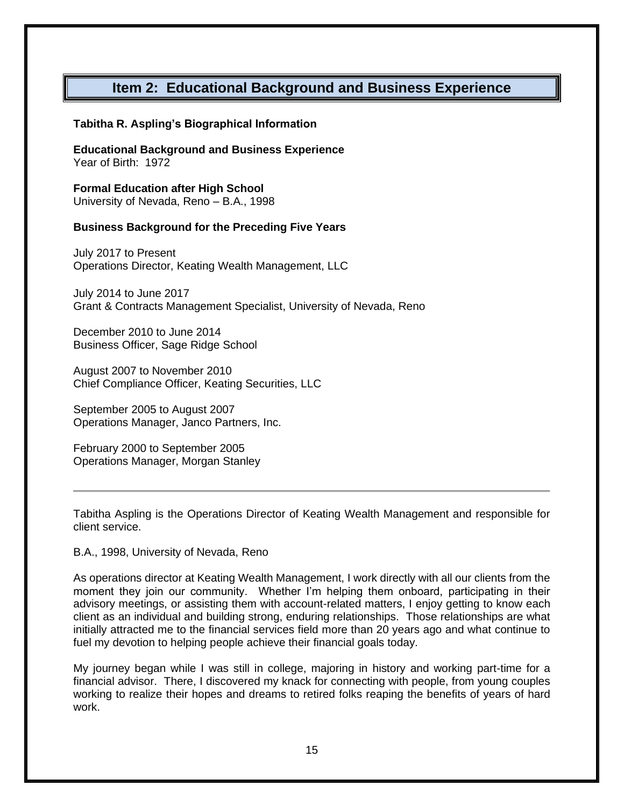# <span id="page-16-0"></span>**Item 2: Educational Background and Business Experience**

### **Tabitha R. Aspling's Biographical Information**

**Educational Background and Business Experience** Year of Birth: 1972

**Formal Education after High School** University of Nevada, Reno – B.A., 1998

#### **Business Background for the Preceding Five Years**

July 2017 to Present Operations Director, Keating Wealth Management, LLC

July 2014 to June 2017 Grant & Contracts Management Specialist, University of Nevada, Reno

December 2010 to June 2014 Business Officer, Sage Ridge School

August 2007 to November 2010 Chief Compliance Officer, Keating Securities, LLC

September 2005 to August 2007 Operations Manager, Janco Partners, Inc.

February 2000 to September 2005 Operations Manager, Morgan Stanley

Tabitha Aspling is the Operations Director of Keating Wealth Management and responsible for client service.

B.A., 1998, University of Nevada, Reno

As operations director at Keating Wealth Management, I work directly with all our clients from the moment they join our community. Whether I'm helping them onboard, participating in their advisory meetings, or assisting them with account-related matters, I enjoy getting to know each client as an individual and building strong, enduring relationships. Those relationships are what initially attracted me to the financial services field more than 20 years ago and what continue to fuel my devotion to helping people achieve their financial goals today.

My journey began while I was still in college, majoring in history and working part-time for a financial advisor. There, I discovered my knack for connecting with people, from young couples working to realize their hopes and dreams to retired folks reaping the benefits of years of hard work.